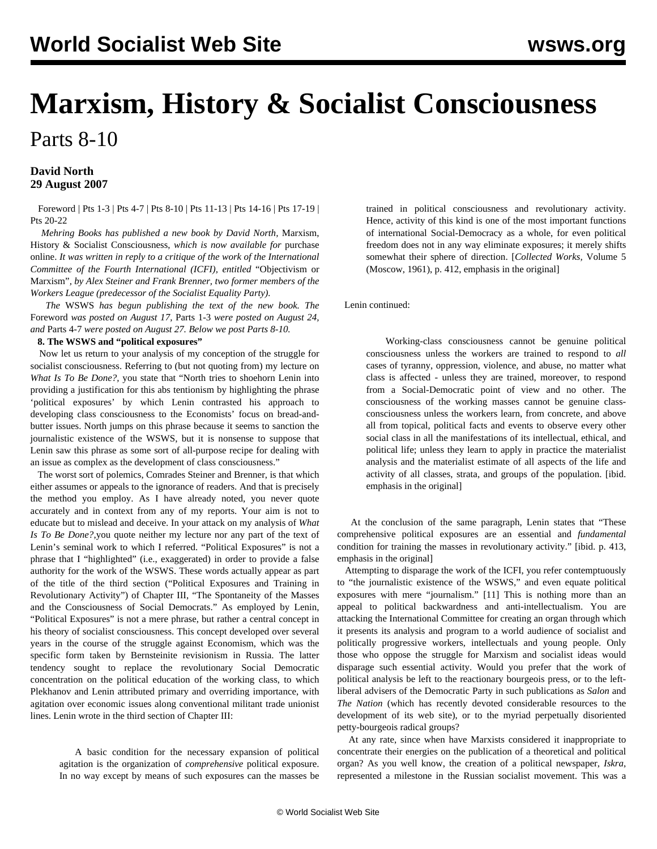# **Marxism, History & Socialist Consciousness**

Parts 8-10

## **David North 29 August 2007**

 [Foreword](/en/articles/2007/08/marx-a17.html) | [Pts 1-3](/en/articles/2007/08/marx-a24.html) | [Pts 4-7](/en/articles/2007/08/marx-a27.html) | [Pts 8-10](/en/articles/2007/08/marx-a29.html) | [Pts 11-13](/en/articles/2007/08/marx-a31.html) | [Pts 14-16](/en/articles/2007/09/marx-s05.html) | [Pts 17-19](/en/articles/2007/09/marx-s07.html) | [Pts 20-22](/en/articles/2007/09/marx-s10.html)

 *Mehring Books has published a new book by David North,* Marxism, History & Socialist Consciousness, *which is now available for* [purchase](http://dev.wsws.org/cgi-bin/store/commerce.cgi?product=newrelease) [online.](http://dev.wsws.org/cgi-bin/store/commerce.cgi?product=newrelease) *It was written in reply to a critique of the work of the International Committee of the Fourth International (ICFI), entitled* ["Objectivism or](http://www.permanent-revolution.org/) [Marxism"](http://www.permanent-revolution.org/)*, by Alex Steiner and Frank Brenner, two former members of the Workers League (predecessor of the Socialist Equality Party).*

 *The* WSWS *has begun publishing the text of the new book. The* [Foreword](/share/page/site/wsws/marx-a17.shtml) *was posted on August 17,* [Parts 1-3](/share/page/site/wsws/marx-a24.shtml) *were posted on August 24, and* [Parts 4-7](/share/page/site/wsws/marx-a27.shtml) *were posted on August 27. Below we post Parts 8-10.*

**8. The WSWS and "political exposures"**

 Now let us return to your analysis of my conception of the struggle for socialist consciousness. Referring to (but not quoting from) [my lecture](/share/page/2005/sep2005/le3-all.shtml) on *What Is To Be Done?,* you state that "North tries to shoehorn Lenin into providing a justification for this abs tentionism by highlighting the phrase 'political exposures' by which Lenin contrasted his approach to developing class consciousness to the Economists' focus on bread-andbutter issues. North jumps on this phrase because it seems to sanction the journalistic existence of the WSWS, but it is nonsense to suppose that Lenin saw this phrase as some sort of all-purpose recipe for dealing with an issue as complex as the development of class consciousness."

 The worst sort of polemics, Comrades Steiner and Brenner, is that which either assumes or appeals to the ignorance of readers. And that is precisely the method you employ. As I have already noted, you never quote accurately and in context from any of my reports. Your aim is not to educate but to mislead and deceive. In your attack on my analysis of *What Is To Be Done?*,you quote neither my lecture nor any part of the text of Lenin's seminal work to which I referred. "Political Exposures" is not a phrase that I "highlighted" (i.e., exaggerated) in order to provide a false authority for the work of the WSWS. These words actually appear as part of the title of the third section ("Political Exposures and Training in Revolutionary Activity") of Chapter III, "The Spontaneity of the Masses and the Consciousness of Social Democrats." As employed by Lenin, "Political Exposures" is not a mere phrase, but rather a central concept in his theory of socialist consciousness. This concept developed over several years in the course of the struggle against Economism, which was the specific form taken by Bernsteinite revisionism in Russia. The latter tendency sought to replace the revolutionary Social Democratic concentration on the political education of the working class, to which Plekhanov and Lenin attributed primary and overriding importance, with agitation over economic issues along conventional militant trade unionist lines. Lenin wrote in the third section of Chapter III:

 A basic condition for the necessary expansion of political agitation is the organization of *comprehensive* political exposure. In no way except by means of such exposures can the masses be trained in political consciousness and revolutionary activity. Hence, activity of this kind is one of the most important functions of international Social-Democracy as a whole, for even political freedom does not in any way eliminate exposures; it merely shifts somewhat their sphere of direction. [*Collected Works,* Volume 5 (Moscow, 1961), p. 412, emphasis in the original]

Lenin continued:

 Working-class consciousness cannot be genuine political consciousness unless the workers are trained to respond to *all* cases of tyranny, oppression, violence, and abuse, no matter what class is affected - unless they are trained, moreover, to respond from a Social-Democratic point of view and no other. The consciousness of the working masses cannot be genuine classconsciousness unless the workers learn, from concrete, and above all from topical, political facts and events to observe every other social class in all the manifestations of its intellectual, ethical, and political life; unless they learn to apply in practice the materialist analysis and the materialist estimate of all aspects of the life and activity of all classes, strata, and groups of the population. [ibid. emphasis in the original]

 At the conclusion of the same paragraph, Lenin states that "These comprehensive political exposures are an essential and *fundamental* condition for training the masses in revolutionary activity." [ibid. p. 413, emphasis in the original]

 Attempting to disparage the work of the ICFI, you refer contemptuously to "the journalistic existence of the WSWS," and even equate political exposures with mere "journalism." [11] This is nothing more than an appeal to political backwardness and anti-intellectualism. You are attacking the International Committee for creating an organ through which it presents its analysis and program to a world audience of socialist and politically progressive workers, intellectuals and young people. Only those who oppose the struggle for Marxism and socialist ideas would disparage such essential activity. Would you prefer that the work of political analysis be left to the reactionary bourgeois press, or to the leftliberal advisers of the Democratic Party in such publications as *Salon* and *The Nation* (which has recently devoted considerable resources to the development of its web site), or to the myriad perpetually disoriented petty-bourgeois radical groups?

 At any rate, since when have Marxists considered it inappropriate to concentrate their energies on the publication of a theoretical and political organ? As you well know, the creation of a political newspaper, *Iskra*, represented a milestone in the Russian socialist movement. This was a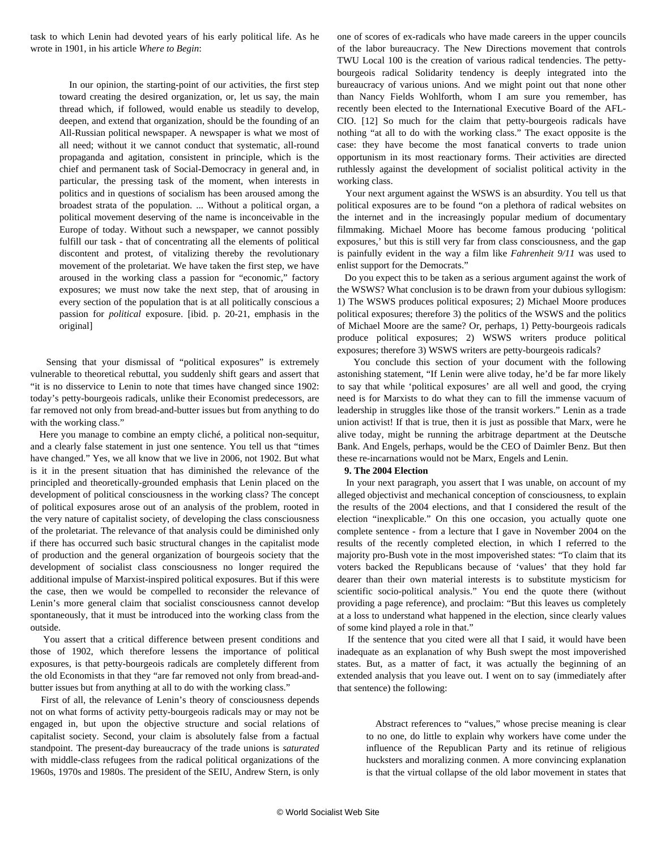task to which Lenin had devoted years of his early political life. As he wrote in 1901, in his article *Where to Begin*:

 In our opinion, the starting-point of our activities, the first step toward creating the desired organization, or, let us say, the main thread which, if followed, would enable us steadily to develop, deepen, and extend that organization, should be the founding of an All-Russian political newspaper. A newspaper is what we most of all need; without it we cannot conduct that systematic, all-round propaganda and agitation, consistent in principle, which is the chief and permanent task of Social-Democracy in general and, in particular, the pressing task of the moment, when interests in politics and in questions of socialism has been aroused among the broadest strata of the population. ... Without a political organ, a political movement deserving of the name is inconceivable in the Europe of today. Without such a newspaper, we cannot possibly fulfill our task - that of concentrating all the elements of political discontent and protest, of vitalizing thereby the revolutionary movement of the proletariat. We have taken the first step, we have aroused in the working class a passion for "economic," factory exposures; we must now take the next step, that of arousing in every section of the population that is at all politically conscious a passion for *political* exposure. [ibid. p. 20-21, emphasis in the original]

 Sensing that your dismissal of "political exposures" is extremely vulnerable to theoretical rebuttal, you suddenly shift gears and assert that "it is no disservice to Lenin to note that times have changed since 1902: today's petty-bourgeois radicals, unlike their Economist predecessors, are far removed not only from bread-and-butter issues but from anything to do with the working class."

 Here you manage to combine an empty cliché, a political non-sequitur, and a clearly false statement in just one sentence. You tell us that "times have changed." Yes, we all know that we live in 2006, not 1902. But what is it in the present situation that has diminished the relevance of the principled and theoretically-grounded emphasis that Lenin placed on the development of political consciousness in the working class? The concept of political exposures arose out of an analysis of the problem, rooted in the very nature of capitalist society, of developing the class consciousness of the proletariat. The relevance of that analysis could be diminished only if there has occurred such basic structural changes in the capitalist mode of production and the general organization of bourgeois society that the development of socialist class consciousness no longer required the additional impulse of Marxist-inspired political exposures. But if this were the case, then we would be compelled to reconsider the relevance of Lenin's more general claim that socialist consciousness cannot develop spontaneously, that it must be introduced into the working class from the outside.

 You assert that a critical difference between present conditions and those of 1902, which therefore lessens the importance of political exposures, is that petty-bourgeois radicals are completely different from the old Economists in that they "are far removed not only from bread-andbutter issues but from anything at all to do with the working class."

 First of all, the relevance of Lenin's theory of consciousness depends not on what forms of activity petty-bourgeois radicals may or may not be engaged in, but upon the objective structure and social relations of capitalist society. Second, your claim is absolutely false from a factual standpoint. The present-day bureaucracy of the trade unions is *saturated* with middle-class refugees from the radical political organizations of the 1960s, 1970s and 1980s. The president of the SEIU, Andrew Stern, is only one of scores of ex-radicals who have made careers in the upper councils of the labor bureaucracy. The New Directions movement that controls TWU Local 100 is the creation of various radical tendencies. The pettybourgeois radical Solidarity tendency is deeply integrated into the bureaucracy of various unions. And we might point out that none other than Nancy Fields Wohlforth, whom I am sure you remember, has recently been elected to the International Executive Board of the AFL-CIO. [12] So much for the claim that petty-bourgeois radicals have nothing "at all to do with the working class." The exact opposite is the case: they have become the most fanatical converts to trade union opportunism in its most reactionary forms. Their activities are directed ruthlessly against the development of socialist political activity in the working class.

 Your next argument against the WSWS is an absurdity. You tell us that political exposures are to be found "on a plethora of radical websites on the internet and in the increasingly popular medium of documentary filmmaking. Michael Moore has become famous producing 'political exposures,' but this is still very far from class consciousness, and the gap is painfully evident in the way a film like *Fahrenheit 9/11* was used to enlist support for the Democrats."

 Do you expect this to be taken as a serious argument against the work of the WSWS? What conclusion is to be drawn from your dubious syllogism: 1) The WSWS produces political exposures; 2) Michael Moore produces political exposures; therefore 3) the politics of the WSWS and the politics of Michael Moore are the same? Or, perhaps, 1) Petty-bourgeois radicals produce political exposures; 2) WSWS writers produce political exposures; therefore 3) WSWS writers are petty-bourgeois radicals?

 You conclude this section of your document with the following astonishing statement, "If Lenin were alive today, he'd be far more likely to say that while 'political exposures' are all well and good, the crying need is for Marxists to do what they can to fill the immense vacuum of leadership in struggles like those of the transit workers." Lenin as a trade union activist! If that is true, then it is just as possible that Marx, were he alive today, might be running the arbitrage department at the Deutsche Bank. And Engels, perhaps, would be the CEO of Daimler Benz. But then these re-incarnations would not be Marx, Engels and Lenin.

#### **9. The 2004 Election**

 In your next paragraph, you assert that I was unable, on account of my alleged objectivist and mechanical conception of consciousness, to explain the results of the 2004 elections, and that I considered the result of the election "inexplicable." On this one occasion, you actually quote one complete sentence - from [a lecture](/share/page/2004/nov2004/dnor-n15.shtml) that I gave in November 2004 on the results of the recently completed election, in which I referred to the majority pro-Bush vote in the most impoverished states: "To claim that its voters backed the Republicans because of 'values' that they hold far dearer than their own material interests is to substitute mysticism for scientific socio-political analysis." You end the quote there (without providing a page reference), and proclaim: "But this leaves us completely at a loss to understand what happened in the election, since clearly values of some kind played a role in that."

 If the sentence that you cited were all that I said, it would have been inadequate as an explanation of why Bush swept the most impoverished states. But, as a matter of fact, it was actually the beginning of an extended analysis that you leave out. I went on to say (immediately after that sentence) the following:

 Abstract references to "values," whose precise meaning is clear to no one, do little to explain why workers have come under the influence of the Republican Party and its retinue of religious hucksters and moralizing conmen. A more convincing explanation is that the virtual collapse of the old labor movement in states that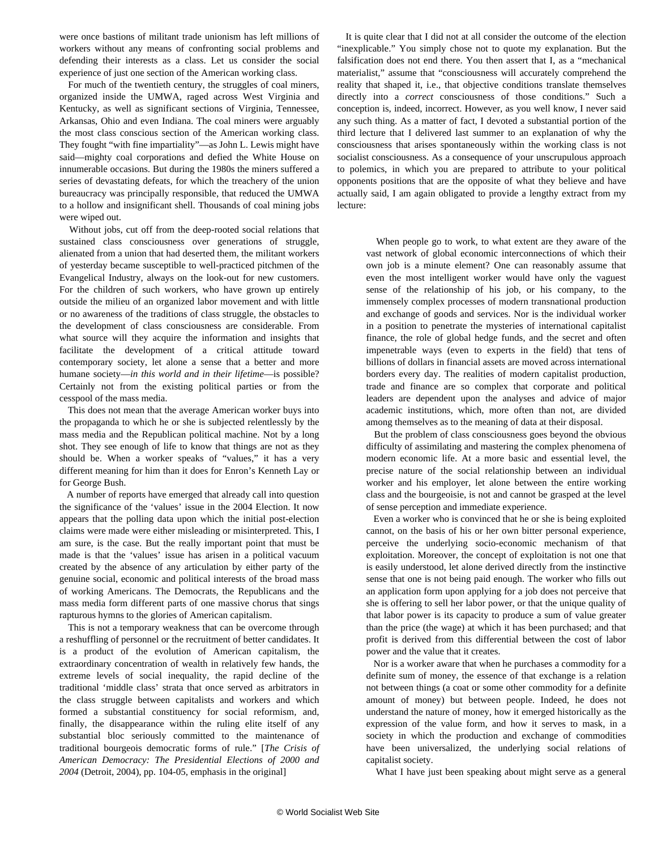were once bastions of militant trade unionism has left millions of workers without any means of confronting social problems and defending their interests as a class. Let us consider the social experience of just one section of the American working class.

 For much of the twentieth century, the struggles of coal miners, organized inside the UMWA, raged across West Virginia and Kentucky, as well as significant sections of Virginia, Tennessee, Arkansas, Ohio and even Indiana. The coal miners were arguably the most class conscious section of the American working class. They fought "with fine impartiality"—as John L. Lewis might have said—mighty coal corporations and defied the White House on innumerable occasions. But during the 1980s the miners suffered a series of devastating defeats, for which the treachery of the union bureaucracy was principally responsible, that reduced the UMWA to a hollow and insignificant shell. Thousands of coal mining jobs were wiped out.

 Without jobs, cut off from the deep-rooted social relations that sustained class consciousness over generations of struggle, alienated from a union that had deserted them, the militant workers of yesterday became susceptible to well-practiced pitchmen of the Evangelical Industry, always on the look-out for new customers. For the children of such workers, who have grown up entirely outside the milieu of an organized labor movement and with little or no awareness of the traditions of class struggle, the obstacles to the development of class consciousness are considerable. From what source will they acquire the information and insights that facilitate the development of a critical attitude toward contemporary society, let alone a sense that a better and more humane society—*in this world and in their lifetime*—is possible? Certainly not from the existing political parties or from the cesspool of the mass media.

 This does not mean that the average American worker buys into the propaganda to which he or she is subjected relentlessly by the mass media and the Republican political machine. Not by a long shot. They see enough of life to know that things are not as they should be. When a worker speaks of "values," it has a very different meaning for him than it does for Enron's Kenneth Lay or for George Bush.

 A number of reports have emerged that already call into question the significance of the 'values' issue in the 2004 Election. It now appears that the polling data upon which the initial post-election claims were made were either misleading or misinterpreted. This, I am sure, is the case. But the really important point that must be made is that the 'values' issue has arisen in a political vacuum created by the absence of any articulation by either party of the genuine social, economic and political interests of the broad mass of working Americans. The Democrats, the Republicans and the mass media form different parts of one massive chorus that sings rapturous hymns to the glories of American capitalism.

 This is not a temporary weakness that can be overcome through a reshuffling of personnel or the recruitment of better candidates. It is a product of the evolution of American capitalism, the extraordinary concentration of wealth in relatively few hands, the extreme levels of social inequality, the rapid decline of the traditional 'middle class' strata that once served as arbitrators in the class struggle between capitalists and workers and which formed a substantial constituency for social reformism, and, finally, the disappearance within the ruling elite itself of any substantial bloc seriously committed to the maintenance of traditional bourgeois democratic forms of rule." [*The Crisis of American Democracy: The Presidential Elections of 2000 and 2004* (Detroit, 2004), pp. 104-05, emphasis in the original]

 It is quite clear that I did not at all consider the outcome of the election "inexplicable." You simply chose not to quote my explanation. But the falsification does not end there. You then assert that I, as a "mechanical materialist," assume that "consciousness will accurately comprehend the reality that shaped it, i.e., that objective conditions translate themselves directly into a *correct* consciousness of those conditions." Such a conception is, indeed, incorrect. However, as you well know, I never said any such thing. As a matter of fact, I devoted a substantial portion of the [third lecture](/share/page/2005/sep2005/le3-all.shtml) that I delivered last summer to an explanation of why the consciousness that arises spontaneously within the working class is not socialist consciousness. As a consequence of your unscrupulous approach to polemics, in which you are prepared to attribute to your political opponents positions that are the opposite of what they believe and have actually said, I am again obligated to provide a lengthy extract from my lecture:

 When people go to work, to what extent are they aware of the vast network of global economic interconnections of which their own job is a minute element? One can reasonably assume that even the most intelligent worker would have only the vaguest sense of the relationship of his job, or his company, to the immensely complex processes of modern transnational production and exchange of goods and services. Nor is the individual worker in a position to penetrate the mysteries of international capitalist finance, the role of global hedge funds, and the secret and often impenetrable ways (even to experts in the field) that tens of billions of dollars in financial assets are moved across international borders every day. The realities of modern capitalist production, trade and finance are so complex that corporate and political leaders are dependent upon the analyses and advice of major academic institutions, which, more often than not, are divided among themselves as to the meaning of data at their disposal.

 But the problem of class consciousness goes beyond the obvious difficulty of assimilating and mastering the complex phenomena of modern economic life. At a more basic and essential level, the precise nature of the social relationship between an individual worker and his employer, let alone between the entire working class and the bourgeoisie, is not and cannot be grasped at the level of sense perception and immediate experience.

 Even a worker who is convinced that he or she is being exploited cannot, on the basis of his or her own bitter personal experience, perceive the underlying socio-economic mechanism of that exploitation. Moreover, the concept of exploitation is not one that is easily understood, let alone derived directly from the instinctive sense that one is not being paid enough. The worker who fills out an application form upon applying for a job does not perceive that she is offering to sell her labor power, or that the unique quality of that labor power is its capacity to produce a sum of value greater than the price (the wage) at which it has been purchased; and that profit is derived from this differential between the cost of labor power and the value that it creates.

 Nor is a worker aware that when he purchases a commodity for a definite sum of money, the essence of that exchange is a relation not between things (a coat or some other commodity for a definite amount of money) but between people. Indeed, he does not understand the nature of money, how it emerged historically as the expression of the value form, and how it serves to mask, in a society in which the production and exchange of commodities have been universalized, the underlying social relations of capitalist society.

What I have just been speaking about might serve as a general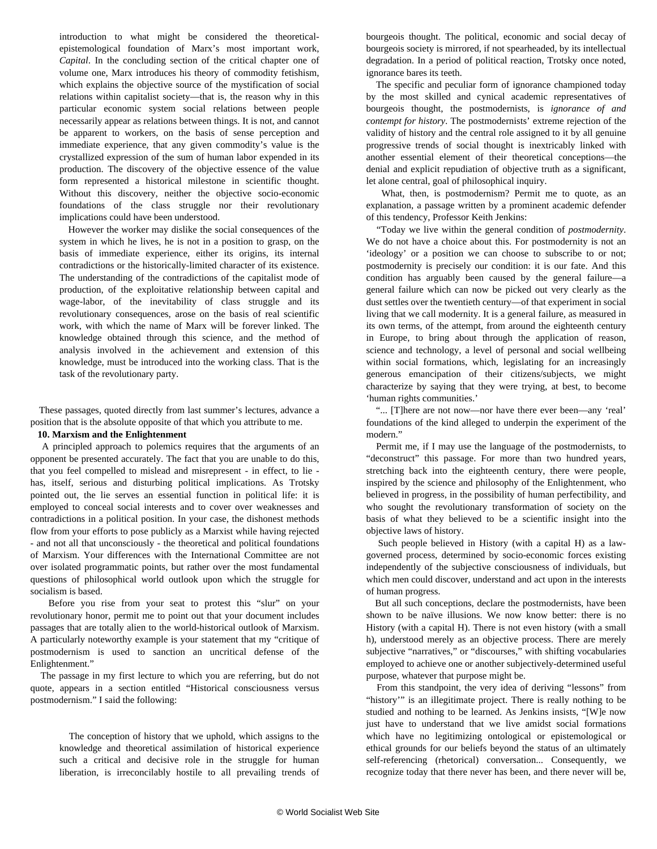introduction to what might be considered the theoreticalepistemological foundation of Marx's most important work, *Capital*. In the concluding section of the critical chapter one of volume one, Marx introduces his theory of commodity fetishism, which explains the objective source of the mystification of social relations within capitalist society—that is, the reason why in this particular economic system social relations between people necessarily appear as relations between things. It is not, and cannot be apparent to workers, on the basis of sense perception and immediate experience, that any given commodity's value is the crystallized expression of the sum of human labor expended in its production. The discovery of the objective essence of the value form represented a historical milestone in scientific thought. Without this discovery, neither the objective socio-economic foundations of the class struggle nor their revolutionary implications could have been understood.

 However the worker may dislike the social consequences of the system in which he lives, he is not in a position to grasp, on the basis of immediate experience, either its origins, its internal contradictions or the historically-limited character of its existence. The understanding of the contradictions of the capitalist mode of production, of the exploitative relationship between capital and wage-labor, of the inevitability of class struggle and its revolutionary consequences, arose on the basis of real scientific work, with which the name of Marx will be forever linked. The knowledge obtained through this science, and the method of analysis involved in the achievement and extension of this knowledge, must be introduced into the working class. That is the task of the revolutionary party.

 These passages, quoted directly from last summer's lectures, advance a position that is the absolute opposite of that which you attribute to me.

#### **10. Marxism and the Enlightenment**

 A principled approach to polemics requires that the arguments of an opponent be presented accurately. The fact that you are unable to do this, that you feel compelled to mislead and misrepresent - in effect, to lie has, itself, serious and disturbing political implications. As Trotsky pointed out, the lie serves an essential function in political life: it is employed to conceal social interests and to cover over weaknesses and contradictions in a political position. In your case, the dishonest methods flow from your efforts to pose publicly as a Marxist while having rejected - and not all that unconsciously - the theoretical and political foundations of Marxism. Your differences with the International Committee are not over isolated programmatic points, but rather over the most fundamental questions of philosophical world outlook upon which the struggle for socialism is based.

 Before you rise from your seat to protest this "slur" on your revolutionary honor, permit me to point out that your document includes passages that are totally alien to the world-historical outlook of Marxism. A particularly noteworthy example is your statement that my "critique of postmodernism is used to sanction an uncritical defense of the Enlightenment."

 The passage in my [first lecture](/share/page/2005/aug2005/le1-all.shtml) to which you are referring, but do not quote, appears in a section entitled "Historical consciousness versus postmodernism." I said the following:

 The conception of history that we uphold, which assigns to the knowledge and theoretical assimilation of historical experience such a critical and decisive role in the struggle for human liberation, is irreconcilably hostile to all prevailing trends of bourgeois thought. The political, economic and social decay of bourgeois society is mirrored, if not spearheaded, by its intellectual degradation. In a period of political reaction, Trotsky once noted, ignorance bares its teeth.

 The specific and peculiar form of ignorance championed today by the most skilled and cynical academic representatives of bourgeois thought, the postmodernists, is *ignorance of and contempt for history*. The postmodernists' extreme rejection of the validity of history and the central role assigned to it by all genuine progressive trends of social thought is inextricably linked with another essential element of their theoretical conceptions—the denial and explicit repudiation of objective truth as a significant, let alone central, goal of philosophical inquiry.

 What, then, is postmodernism? Permit me to quote, as an explanation, a passage written by a prominent academic defender of this tendency, Professor Keith Jenkins:

 "Today we live within the general condition of *postmodernity*. We do not have a choice about this. For postmodernity is not an 'ideology' or a position we can choose to subscribe to or not; postmodernity is precisely our condition: it is our fate. And this condition has arguably been caused by the general failure—a general failure which can now be picked out very clearly as the dust settles over the twentieth century—of that experiment in social living that we call modernity. It is a general failure, as measured in its own terms, of the attempt, from around the eighteenth century in Europe, to bring about through the application of reason, science and technology, a level of personal and social wellbeing within social formations, which, legislating for an increasingly generous emancipation of their citizens/subjects, we might characterize by saying that they were trying, at best, to become 'human rights communities.'

 "... [T]here are not now—nor have there ever been—any 'real' foundations of the kind alleged to underpin the experiment of the modern<sup>"</sup>

 Permit me, if I may use the language of the postmodernists, to "deconstruct" this passage. For more than two hundred years, stretching back into the eighteenth century, there were people, inspired by the science and philosophy of the Enlightenment, who believed in progress, in the possibility of human perfectibility, and who sought the revolutionary transformation of society on the basis of what they believed to be a scientific insight into the objective laws of history.

 Such people believed in History (with a capital H) as a lawgoverned process, determined by socio-economic forces existing independently of the subjective consciousness of individuals, but which men could discover, understand and act upon in the interests of human progress.

 But all such conceptions, declare the postmodernists, have been shown to be naïve illusions. We now know better: there is no History (with a capital H). There is not even history (with a small h), understood merely as an objective process. There are merely subjective "narratives," or "discourses," with shifting vocabularies employed to achieve one or another subjectively-determined useful purpose, whatever that purpose might be.

 From this standpoint, the very idea of deriving "lessons" from "history" is an illegitimate project. There is really nothing to be studied and nothing to be learned. As Jenkins insists, "[W]e now just have to understand that we live amidst social formations which have no legitimizing ontological or epistemological or ethical grounds for our beliefs beyond the status of an ultimately self-referencing (rhetorical) conversation... Consequently, we recognize today that there never has been, and there never will be,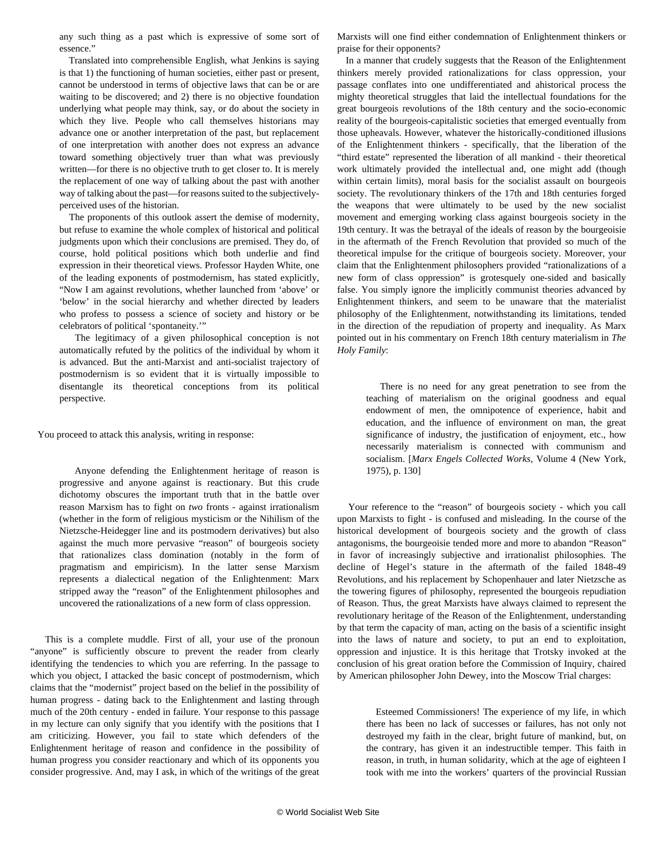any such thing as a past which is expressive of some sort of essence."

 Translated into comprehensible English, what Jenkins is saying is that 1) the functioning of human societies, either past or present, cannot be understood in terms of objective laws that can be or are waiting to be discovered; and 2) there is no objective foundation underlying what people may think, say, or do about the society in which they live. People who call themselves historians may advance one or another interpretation of the past, but replacement of one interpretation with another does not express an advance toward something objectively truer than what was previously written—for there is no objective truth to get closer to. It is merely the replacement of one way of talking about the past with another way of talking about the past—for reasons suited to the subjectivelyperceived uses of the historian.

 The proponents of this outlook assert the demise of modernity, but refuse to examine the whole complex of historical and political judgments upon which their conclusions are premised. They do, of course, hold political positions which both underlie and find expression in their theoretical views. Professor Hayden White, one of the leading exponents of postmodernism, has stated explicitly, "Now I am against revolutions, whether launched from 'above' or 'below' in the social hierarchy and whether directed by leaders who profess to possess a science of society and history or be celebrators of political 'spontaneity.'"

 The legitimacy of a given philosophical conception is not automatically refuted by the politics of the individual by whom it is advanced. But the anti-Marxist and anti-socialist trajectory of postmodernism is so evident that it is virtually impossible to disentangle its theoretical conceptions from its political perspective.

You proceed to attack this analysis, writing in response:

 Anyone defending the Enlightenment heritage of reason is progressive and anyone against is reactionary. But this crude dichotomy obscures the important truth that in the battle over reason Marxism has to fight on *two* fronts - against irrationalism (whether in the form of religious mysticism or the Nihilism of the Nietzsche-Heidegger line and its postmodern derivatives) but also against the much more pervasive "reason" of bourgeois society that rationalizes class domination (notably in the form of pragmatism and empiricism). In the latter sense Marxism represents a dialectical negation of the Enlightenment: Marx stripped away the "reason" of the Enlightenment philosophes and uncovered the rationalizations of a new form of class oppression.

 This is a complete muddle. First of all, your use of the pronoun "anyone" is sufficiently obscure to prevent the reader from clearly identifying the tendencies to which you are referring. In the passage to which you object, I attacked the basic concept of postmodernism, which claims that the "modernist" project based on the belief in the possibility of human progress - dating back to the Enlightenment and lasting through much of the 20th century - ended in failure. Your response to this passage in my lecture can only signify that you identify with the positions that I am criticizing. However, you fail to state which defenders of the Enlightenment heritage of reason and confidence in the possibility of human progress you consider reactionary and which of its opponents you consider progressive. And, may I ask, in which of the writings of the great Marxists will one find either condemnation of Enlightenment thinkers or praise for their opponents?

 In a manner that crudely suggests that the Reason of the Enlightenment thinkers merely provided rationalizations for class oppression, your passage conflates into one undifferentiated and ahistorical process the mighty theoretical struggles that laid the intellectual foundations for the great bourgeois revolutions of the 18th century and the socio-economic reality of the bourgeois-capitalistic societies that emerged eventually from those upheavals. However, whatever the historically-conditioned illusions of the Enlightenment thinkers - specifically, that the liberation of the "third estate" represented the liberation of all mankind - their theoretical work ultimately provided the intellectual and, one might add (though within certain limits), moral basis for the socialist assault on bourgeois society. The revolutionary thinkers of the 17th and 18th centuries forged the weapons that were ultimately to be used by the new socialist movement and emerging working class against bourgeois society in the 19th century. It was the betrayal of the ideals of reason by the bourgeoisie in the aftermath of the French Revolution that provided so much of the theoretical impulse for the critique of bourgeois society. Moreover, your claim that the Enlightenment philosophers provided "rationalizations of a new form of class oppression" is grotesquely one-sided and basically false. You simply ignore the implicitly communist theories advanced by Enlightenment thinkers, and seem to be unaware that the materialist philosophy of the Enlightenment, notwithstanding its limitations, tended in the direction of the repudiation of property and inequality. As Marx pointed out in his commentary on French 18th century materialism in *The Holy Family*:

 There is no need for any great penetration to see from the teaching of materialism on the original goodness and equal endowment of men, the omnipotence of experience, habit and education, and the influence of environment on man, the great significance of industry, the justification of enjoyment, etc., how necessarily materialism is connected with communism and socialism. [*Marx Engels Collected Works*, Volume 4 (New York, 1975), p. 130]

 Your reference to the "reason" of bourgeois society - which you call upon Marxists to fight - is confused and misleading. In the course of the historical development of bourgeois society and the growth of class antagonisms, the bourgeoisie tended more and more to abandon "Reason" in favor of increasingly subjective and irrationalist philosophies. The decline of Hegel's stature in the aftermath of the failed 1848-49 Revolutions, and his replacement by Schopenhauer and later Nietzsche as the towering figures of philosophy, represented the bourgeois repudiation of Reason. Thus, the great Marxists have always claimed to represent the revolutionary heritage of the Reason of the Enlightenment, understanding by that term the capacity of man, acting on the basis of a scientific insight into the laws of nature and society, to put an end to exploitation, oppression and injustice. It is this heritage that Trotsky invoked at the conclusion of his great oration before the Commission of Inquiry, chaired by American philosopher John Dewey, into the Moscow Trial charges:

 Esteemed Commissioners! The experience of my life, in which there has been no lack of successes or failures, has not only not destroyed my faith in the clear, bright future of mankind, but, on the contrary, has given it an indestructible temper. This faith in reason, in truth, in human solidarity, which at the age of eighteen I took with me into the workers' quarters of the provincial Russian